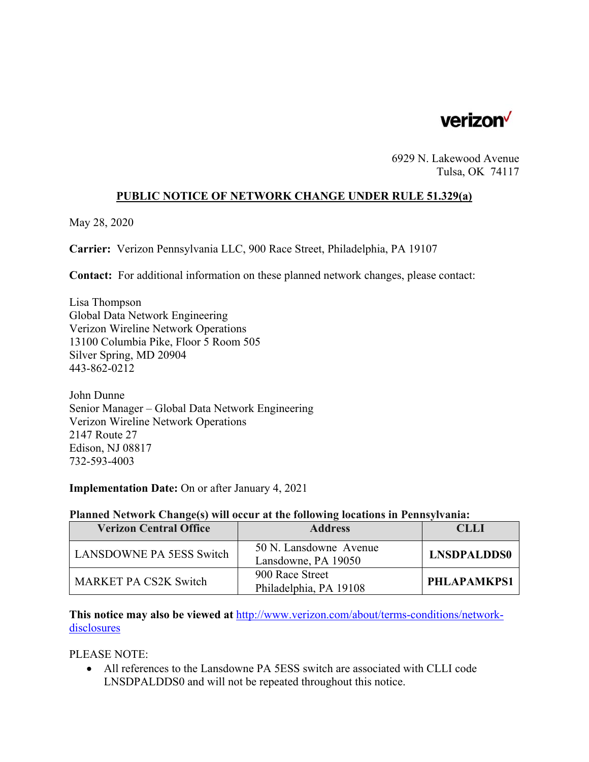

6929 N. Lakewood Avenue Tulsa, OK 74117

## **PUBLIC NOTICE OF NETWORK CHANGE UNDER RULE 51.329(a)**

May 28, 2020

**Carrier:** Verizon Pennsylvania LLC, 900 Race Street, Philadelphia, PA 19107

**Contact:** For additional information on these planned network changes, please contact:

Lisa Thompson Global Data Network Engineering Verizon Wireline Network Operations 13100 Columbia Pike, Floor 5 Room 505 Silver Spring, MD 20904 443-862-0212

John Dunne Senior Manager – Global Data Network Engineering Verizon Wireline Network Operations 2147 Route 27 Edison, NJ 08817 732-593-4003

### **Implementation Date:** On or after January 4, 2021

#### **Planned Network Change(s) will occur at the following locations in Pennsylvania:**

| <b>Verizon Central Office</b>   | <b>Address</b>                                | CLLI               |
|---------------------------------|-----------------------------------------------|--------------------|
| <b>LANSDOWNE PA 5ESS Switch</b> | 50 N. Lansdowne Avenue<br>Lansdowne, PA 19050 | <b>LNSDPALDDS0</b> |
| <b>MARKET PA CS2K Switch</b>    | 900 Race Street<br>Philadelphia, PA 19108     | PHLAPAMKPS1        |

**This notice may also be viewed at** http://www.verizon.com/about/terms-conditions/networkdisclosures

### PLEASE NOTE:

 All references to the Lansdowne PA 5ESS switch are associated with CLLI code LNSDPALDDS0 and will not be repeated throughout this notice.